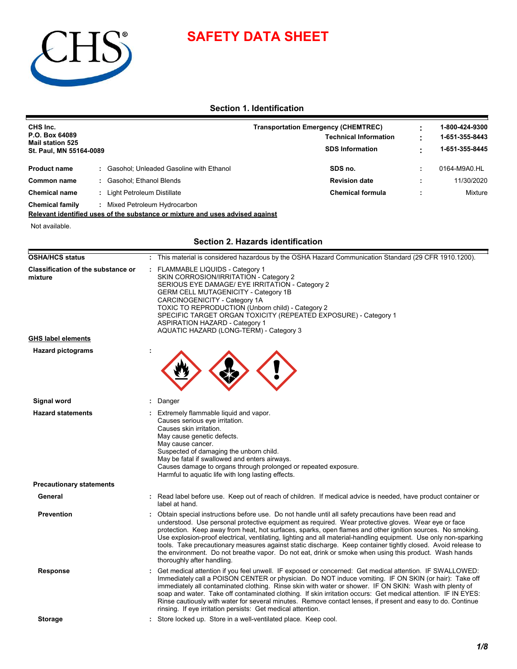

# **SAFETY DATA SHEET**

**Section 1. Identification**

| CHS Inc.<br>P.O. Box 64089<br>Mail station 525<br>St. Paul, MN 55164-0089 |  |                                         | <b>Transportation Emergency (CHEMTREC)</b><br><b>Technical Information</b><br><b>SDS Information</b> | 1-800-424-9300<br>1-651-355-8443<br>1-651-355-8445 |
|---------------------------------------------------------------------------|--|-----------------------------------------|------------------------------------------------------------------------------------------------------|----------------------------------------------------|
| <b>Product name</b>                                                       |  | Gasohol; Unleaded Gasoline with Ethanol | SDS no.                                                                                              | 0164-M9A0.HL                                       |
| Common name                                                               |  | Gasohol: Ethanol Blends                 | <b>Revision date</b>                                                                                 | 11/30/2020                                         |
| <b>Chemical name</b>                                                      |  | Light Petroleum Distillate              | <b>Chemical formula</b>                                                                              | Mixture                                            |
| <b>Chemical family</b>                                                    |  | Mixed Petroleum Hydrocarbon             |                                                                                                      |                                                    |

**Relevant identified uses of the substance or mixture and uses advised against**

Not available.

Ī

### **Section 2. Hazards identification**

| <b>Classification of the substance or</b><br>mixture | FLAMMABLE LIQUIDS - Category 1<br>SKIN CORROSION/IRRITATION - Category 2<br>SERIOUS EYE DAMAGE/ EYE IRRITATION - Category 2<br><b>GERM CELL MUTAGENICITY - Category 1B</b><br>CARCINOGENICITY - Category 1A<br>TOXIC TO REPRODUCTION (Unborn child) - Category 2<br>SPECIFIC TARGET ORGAN TOXICITY (REPEATED EXPOSURE) - Category 1<br><b>ASPIRATION HAZARD - Category 1</b><br>AQUATIC HAZARD (LONG-TERM) - Category 3                                                                                                                                                                                                                                                                               |  |  |  |  |
|------------------------------------------------------|-------------------------------------------------------------------------------------------------------------------------------------------------------------------------------------------------------------------------------------------------------------------------------------------------------------------------------------------------------------------------------------------------------------------------------------------------------------------------------------------------------------------------------------------------------------------------------------------------------------------------------------------------------------------------------------------------------|--|--|--|--|
| <b>GHS label elements</b>                            |                                                                                                                                                                                                                                                                                                                                                                                                                                                                                                                                                                                                                                                                                                       |  |  |  |  |
| <b>Hazard pictograms</b>                             |                                                                                                                                                                                                                                                                                                                                                                                                                                                                                                                                                                                                                                                                                                       |  |  |  |  |
| Signal word                                          | Danger                                                                                                                                                                                                                                                                                                                                                                                                                                                                                                                                                                                                                                                                                                |  |  |  |  |
| <b>Hazard statements</b>                             | Extremely flammable liquid and vapor.<br>Causes serious eye irritation.<br>Causes skin irritation.<br>May cause genetic defects.<br>May cause cancer.<br>Suspected of damaging the unborn child.<br>May be fatal if swallowed and enters airways.<br>Causes damage to organs through prolonged or repeated exposure.<br>Harmful to aquatic life with long lasting effects.                                                                                                                                                                                                                                                                                                                            |  |  |  |  |
| <b>Precautionary statements</b>                      |                                                                                                                                                                                                                                                                                                                                                                                                                                                                                                                                                                                                                                                                                                       |  |  |  |  |
| General                                              | Read label before use. Keep out of reach of children. If medical advice is needed, have product container or<br>label at hand.                                                                                                                                                                                                                                                                                                                                                                                                                                                                                                                                                                        |  |  |  |  |
| <b>Prevention</b>                                    | Obtain special instructions before use. Do not handle until all safety precautions have been read and<br>understood. Use personal protective equipment as required. Wear protective gloves. Wear eye or face<br>protection. Keep away from heat, hot surfaces, sparks, open flames and other ignition sources. No smoking.<br>Use explosion-proof electrical, ventilating, lighting and all material-handling equipment. Use only non-sparking<br>tools. Take precautionary measures against static discharge. Keep container tightly closed. Avoid release to<br>the environment. Do not breathe vapor. Do not eat, drink or smoke when using this product. Wash hands<br>thoroughly after handling. |  |  |  |  |
| <b>Response</b>                                      | Get medical attention if you feel unwell. IF exposed or concerned: Get medical attention. IF SWALLOWED:<br>Immediately call a POISON CENTER or physician. Do NOT induce vomiting. IF ON SKIN (or hair): Take off<br>immediately all contaminated clothing. Rinse skin with water or shower. IF ON SKIN: Wash with plenty of<br>soap and water. Take off contaminated clothing. If skin irritation occurs: Get medical attention. IF IN EYES:<br>Rinse cautiously with water for several minutes. Remove contact lenses, if present and easy to do. Continue<br>rinsing. If eye irritation persists: Get medical attention.                                                                            |  |  |  |  |
|                                                      | Store locked up. Store in a well-ventilated place. Keep cool.                                                                                                                                                                                                                                                                                                                                                                                                                                                                                                                                                                                                                                         |  |  |  |  |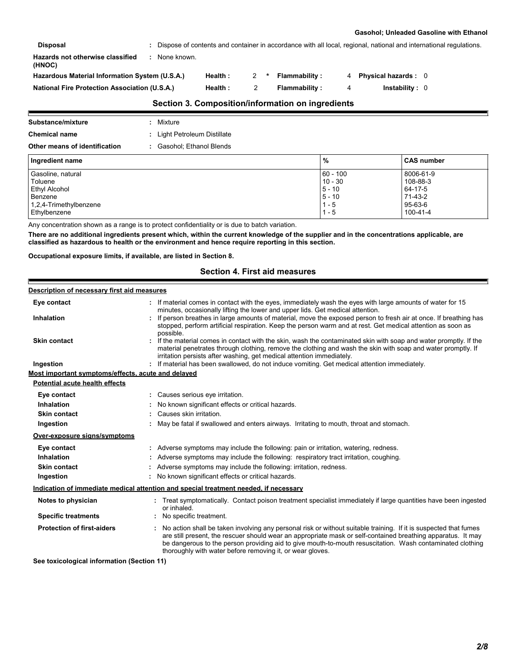#### **Gasohol; Unleaded Gasoline with Ethanol**

| <b>Disposal</b>                                      |             |         |   |                                                   |   | : Dispose of contents and container in accordance with all local, regional, national and international regulations. |
|------------------------------------------------------|-------------|---------|---|---------------------------------------------------|---|---------------------------------------------------------------------------------------------------------------------|
| Hazards not otherwise classified<br>(HNOC)           | None known. |         |   |                                                   |   |                                                                                                                     |
| Hazardous Material Information System (U.S.A.)       |             | Health: | 2 | Flammability:                                     |   | <b>Physical hazards: 0</b>                                                                                          |
| <b>National Fire Protection Association (U.S.A.)</b> |             | Health: |   | Flammability:                                     | 4 | Instantility: 0                                                                                                     |
|                                                      |             |         |   | Section 3. Composition/information on ingredients |   |                                                                                                                     |

| Substance/mixture             | : Mixture                    |
|-------------------------------|------------------------------|
| <b>Chemical name</b>          | : Light Petroleum Distillate |
| Other means of identification | Gasohol: Ethanol Blends      |

| ouier means or identification.<br><b>Production</b> , Ethanior Dichas |            |                   |
|-----------------------------------------------------------------------|------------|-------------------|
| Ingredient name                                                       | %          | <b>CAS number</b> |
| Gasoline, natural                                                     | $60 - 100$ | 8006-61-9         |
| Toluene                                                               | $10 - 30$  | 108-88-3          |
| Ethyl Alcohol                                                         | $5 - 10$   | 64-17-5           |
| Benzene                                                               | $5 - 10$   | 71-43-2           |
| 1,2,4-Trimethylbenzene                                                | 1 - 5      | 95-63-6           |
| Ethylbenzene                                                          | 1 - 5      | 100-41-4          |

Any concentration shown as a range is to protect confidentiality or is due to batch variation.

**There are no additional ingredients present which, within the current knowledge of the supplier and in the concentrations applicable, are classified as hazardous to health or the environment and hence require reporting in this section.**

**Occupational exposure limits, if available, are listed in Section 8.**

Е

# **Section 4. First aid measures**

| Description of necessary first aid measures        |                                                                                                                                                                                                                                                                                                                                                                                                            |
|----------------------------------------------------|------------------------------------------------------------------------------------------------------------------------------------------------------------------------------------------------------------------------------------------------------------------------------------------------------------------------------------------------------------------------------------------------------------|
| Eye contact                                        | If material comes in contact with the eyes, immediately wash the eyes with large amounts of water for 15<br>minutes, occasionally lifting the lower and upper lids. Get medical attention.                                                                                                                                                                                                                 |
| <b>Inhalation</b>                                  | If person breathes in large amounts of material, move the exposed person to fresh air at once. If breathing has<br>stopped, perform artificial respiration. Keep the person warm and at rest. Get medical attention as soon as<br>possible.                                                                                                                                                                |
| <b>Skin contact</b>                                | If the material comes in contact with the skin, wash the contaminated skin with soap and water promptly. If the<br>material penetrates through clothing, remove the clothing and wash the skin with soap and water promptly. If<br>irritation persists after washing, get medical attention immediately.                                                                                                   |
| Ingestion                                          | If material has been swallowed, do not induce vomiting. Get medical attention immediately.                                                                                                                                                                                                                                                                                                                 |
| Most important symptoms/effects, acute and delayed |                                                                                                                                                                                                                                                                                                                                                                                                            |
| Potential acute health effects                     |                                                                                                                                                                                                                                                                                                                                                                                                            |
| Eye contact                                        | : Causes serious eye irritation.                                                                                                                                                                                                                                                                                                                                                                           |
| Inhalation                                         | No known significant effects or critical hazards.                                                                                                                                                                                                                                                                                                                                                          |
| <b>Skin contact</b>                                | Causes skin irritation.                                                                                                                                                                                                                                                                                                                                                                                    |
| Ingestion                                          | May be fatal if swallowed and enters airways. Irritating to mouth, throat and stomach.                                                                                                                                                                                                                                                                                                                     |
| Over-exposure signs/symptoms                       |                                                                                                                                                                                                                                                                                                                                                                                                            |
| Eye contact                                        | : Adverse symptoms may include the following: pain or irritation, watering, redness.                                                                                                                                                                                                                                                                                                                       |
| <b>Inhalation</b>                                  | Adverse symptoms may include the following: respiratory tract irritation, coughing.                                                                                                                                                                                                                                                                                                                        |
| <b>Skin contact</b>                                | Adverse symptoms may include the following: irritation, redness.                                                                                                                                                                                                                                                                                                                                           |
| Ingestion                                          | : No known significant effects or critical hazards.                                                                                                                                                                                                                                                                                                                                                        |
|                                                    | Indication of immediate medical attention and special treatment needed, if necessary                                                                                                                                                                                                                                                                                                                       |
| Notes to physician                                 | : Treat symptomatically. Contact poison treatment specialist immediately if large quantities have been ingested<br>or inhaled.                                                                                                                                                                                                                                                                             |
| <b>Specific treatments</b>                         | No specific treatment.                                                                                                                                                                                                                                                                                                                                                                                     |
| <b>Protection of first-aiders</b>                  | No action shall be taken involving any personal risk or without suitable training. If it is suspected that fumes<br>are still present, the rescuer should wear an appropriate mask or self-contained breathing apparatus. It may<br>be dangerous to the person providing aid to give mouth-to-mouth resuscitation. Wash contaminated clothing<br>thoroughly with water before removing it, or wear gloves. |
| See toxicological information (Section 11)         |                                                                                                                                                                                                                                                                                                                                                                                                            |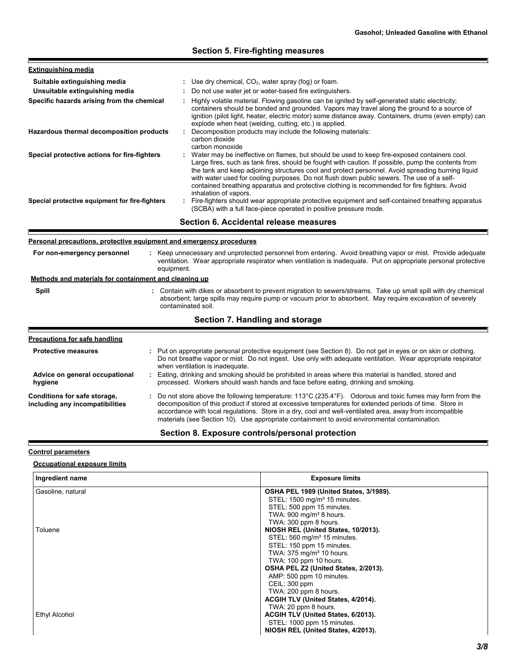# **Section 5. Fire-fighting measures**

| <b>Extinguishing media</b>                     |                                                                                                                                                                                                                                                                                                                                                                                                                                                                                                                                   |
|------------------------------------------------|-----------------------------------------------------------------------------------------------------------------------------------------------------------------------------------------------------------------------------------------------------------------------------------------------------------------------------------------------------------------------------------------------------------------------------------------------------------------------------------------------------------------------------------|
| Suitable extinguishing media                   | : Use dry chemical, $CO2$ , water spray (fog) or foam.                                                                                                                                                                                                                                                                                                                                                                                                                                                                            |
| Unsuitable extinguishing media                 | : Do not use water jet or water-based fire extinguishers.                                                                                                                                                                                                                                                                                                                                                                                                                                                                         |
| Specific hazards arising from the chemical     | : Highly volatile material. Flowing gasoline can be ignited by self-generated static electricity;<br>containers should be bonded and grounded. Vapors may travel along the ground to a source of<br>ignition (pilot light, heater, electric motor) some distance away. Containers, drums (even empty) can<br>explode when heat (welding, cutting, etc.) is applied.                                                                                                                                                               |
| Hazardous thermal decomposition products       | Decomposition products may include the following materials:<br>carbon dioxide<br>carbon monoxide                                                                                                                                                                                                                                                                                                                                                                                                                                  |
| Special protective actions for fire-fighters   | : Water may be ineffective on flames, but should be used to keep fire-exposed containers cool.<br>Large fires, such as tank fires, should be fought with caution. If possible, pump the contents from<br>the tank and keep adjoining structures cool and protect personnel. Avoid spreading burning liquid<br>with water used for cooling purposes. Do not flush down public sewers. The use of a self-<br>contained breathing apparatus and protective clothing is recommended for fire fighters. Avoid<br>inhalation of vapors. |
| Special protective equipment for fire-fighters | : Fire-fighters should wear appropriate protective equipment and self-contained breathing apparatus<br>(SCBA) with a full face-piece operated in positive pressure mode.                                                                                                                                                                                                                                                                                                                                                          |
|                                                | .                                                                                                                                                                                                                                                                                                                                                                                                                                                                                                                                 |

**Section 6. Accidental release measures**

### **Personal precautions, protective equipment and emergency procedures**

| For non-emergency personnel<br>Methods and materials for containment and cleaning up | : Keep unnecessary and unprotected personnel from entering. Avoid breathing vapor or mist. Provide adequate<br>ventilation. Wear appropriate respirator when ventilation is inadequate. Put on appropriate personal protective<br>equipment.                                                                                                                                                                                                             |
|--------------------------------------------------------------------------------------|----------------------------------------------------------------------------------------------------------------------------------------------------------------------------------------------------------------------------------------------------------------------------------------------------------------------------------------------------------------------------------------------------------------------------------------------------------|
| <b>Spill</b>                                                                         | : Contain with dikes or absorbent to prevent migration to sewers/streams. Take up small spill with dry chemical<br>absorbent; large spills may require pump or vacuum prior to absorbent. May require excavation of severely<br>contaminated soil.                                                                                                                                                                                                       |
|                                                                                      | Section 7. Handling and storage                                                                                                                                                                                                                                                                                                                                                                                                                          |
| <b>Precautions for safe handling</b>                                                 |                                                                                                                                                                                                                                                                                                                                                                                                                                                          |
| <b>Protective measures</b>                                                           | : Put on appropriate personal protective equipment (see Section 8). Do not get in eyes or on skin or clothing.<br>Do not breathe vapor or mist. Do not ingest. Use only with adequate ventilation. Wear appropriate respirator<br>when ventilation is inadequate.                                                                                                                                                                                        |
| Advice on general occupational<br>hygiene                                            | Eating, drinking and smoking should be prohibited in areas where this material is handled, stored and<br>processed. Workers should wash hands and face before eating, drinking and smoking.                                                                                                                                                                                                                                                              |
| Conditions for safe storage,<br>including any incompatibilities                      | : Do not store above the following temperature: $113^{\circ}$ C (235.4 $^{\circ}$ F). Odorous and toxic fumes may form from the<br>decomposition of this product if stored at excessive temperatures for extended periods of time. Store in<br>accordance with local regulations. Store in a dry, cool and well-ventilated area, away from incompatible<br>materials (see Section 10). Use appropriate containment to avoid environmental contamination. |

# **Section 8. Exposure controls/personal protection**

#### **Control parameters**

E

ľ

E

### **Occupational exposure limits**

| Ingredient name   | <b>Exposure limits</b>                   |
|-------------------|------------------------------------------|
| Gasoline, natural | OSHA PEL 1989 (United States, 3/1989).   |
|                   | STEL: 1500 mg/m <sup>3</sup> 15 minutes. |
|                   | STEL: 500 ppm 15 minutes.                |
|                   | TWA: 900 mg/m <sup>3</sup> 8 hours.      |
|                   | TWA: 300 ppm 8 hours.                    |
| Toluene           | NIOSH REL (United States, 10/2013).      |
|                   | STEL: 560 mg/m <sup>3</sup> 15 minutes.  |
|                   | STEL: 150 ppm 15 minutes.                |
|                   | TWA: 375 mg/m <sup>3</sup> 10 hours.     |
|                   | TWA: 100 ppm 10 hours.                   |
|                   | OSHA PEL Z2 (United States, 2/2013).     |
|                   | AMP: 500 ppm 10 minutes.                 |
|                   | CEIL: 300 ppm                            |
|                   | TWA: 200 ppm 8 hours.                    |
|                   | ACGIH TLV (United States, 4/2014).       |
|                   | TWA: 20 ppm 8 hours.                     |
| Ethyl Alcohol     | ACGIH TLV (United States, 6/2013).       |
|                   | STEL: 1000 ppm 15 minutes.               |
|                   | NIOSH REL (United States, 4/2013).       |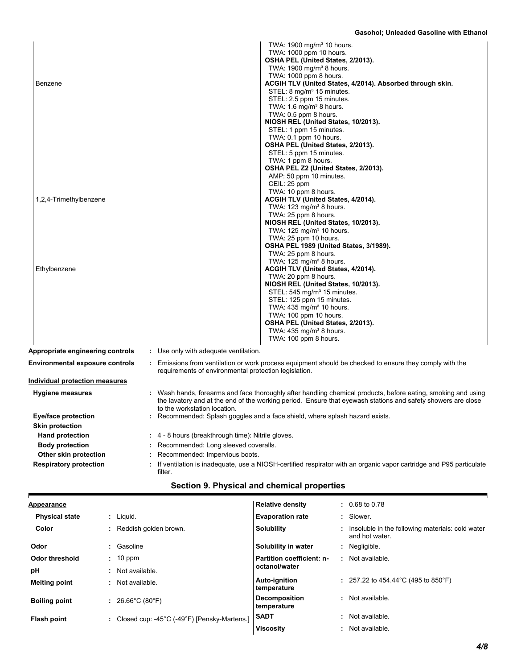| Benzene<br>1,2,4-Trimethylbenzene<br>Ethylbenzene |                                                       | TWA: 1900 mg/m <sup>3</sup> 10 hours.<br>TWA: 1000 ppm 10 hours.<br>OSHA PEL (United States, 2/2013).<br>TWA: 1900 mg/m <sup>3</sup> 8 hours.<br>TWA: 1000 ppm 8 hours.<br>ACGIH TLV (United States, 4/2014). Absorbed through skin.<br>STEL: 8 mg/m <sup>3</sup> 15 minutes.<br>STEL: 2.5 ppm 15 minutes.<br>TWA: $1.6 \text{ mg/m}^3$ 8 hours.<br>TWA: 0.5 ppm 8 hours.<br>NIOSH REL (United States, 10/2013).<br>STEL: 1 ppm 15 minutes.<br>TWA: 0.1 ppm 10 hours.<br>OSHA PEL (United States, 2/2013).<br>STEL: 5 ppm 15 minutes.<br>TWA: 1 ppm 8 hours.<br>OSHA PEL Z2 (United States, 2/2013).<br>AMP: 50 ppm 10 minutes.<br>CEIL: 25 ppm<br>TWA: 10 ppm 8 hours.<br>ACGIH TLV (United States, 4/2014).<br>TWA: $123 \text{ mg/m}^3$ 8 hours.<br>TWA: 25 ppm 8 hours.<br>NIOSH REL (United States, 10/2013).<br>TWA: 125 mg/m <sup>3</sup> 10 hours.<br>TWA: 25 ppm 10 hours.<br>OSHA PEL 1989 (United States, 3/1989).<br>TWA: 25 ppm 8 hours.<br>TWA: $125 \text{ mg/m}^3$ 8 hours.<br>ACGIH TLV (United States, 4/2014).<br>TWA: 20 ppm 8 hours.<br>NIOSH REL (United States, 10/2013).<br>STEL: 545 mg/m <sup>3</sup> 15 minutes.<br>STEL: 125 ppm 15 minutes.<br>TWA: 435 mg/m <sup>3</sup> 10 hours.<br>TWA: 100 ppm 10 hours.<br>OSHA PEL (United States, 2/2013).<br>TWA: $435 \text{ mg/m}^3$ 8 hours. |  |
|---------------------------------------------------|-------------------------------------------------------|-----------------------------------------------------------------------------------------------------------------------------------------------------------------------------------------------------------------------------------------------------------------------------------------------------------------------------------------------------------------------------------------------------------------------------------------------------------------------------------------------------------------------------------------------------------------------------------------------------------------------------------------------------------------------------------------------------------------------------------------------------------------------------------------------------------------------------------------------------------------------------------------------------------------------------------------------------------------------------------------------------------------------------------------------------------------------------------------------------------------------------------------------------------------------------------------------------------------------------------------------------------------------------------------------------------------------|--|
| Appropriate engineering controls                  | : Use only with adequate ventilation.                 | TWA: 100 ppm 8 hours.                                                                                                                                                                                                                                                                                                                                                                                                                                                                                                                                                                                                                                                                                                                                                                                                                                                                                                                                                                                                                                                                                                                                                                                                                                                                                                 |  |
| Environmental exposure controls                   | requirements of environmental protection legislation. | : Emissions from ventilation or work process equipment should be checked to ensure they comply with the                                                                                                                                                                                                                                                                                                                                                                                                                                                                                                                                                                                                                                                                                                                                                                                                                                                                                                                                                                                                                                                                                                                                                                                                               |  |
| <u>Individual protection measures</u>             |                                                       |                                                                                                                                                                                                                                                                                                                                                                                                                                                                                                                                                                                                                                                                                                                                                                                                                                                                                                                                                                                                                                                                                                                                                                                                                                                                                                                       |  |
| <b>Hygiene measures</b>                           | to the workstation location.                          | : Wash hands, forearms and face thoroughly after handling chemical products, before eating, smoking and using<br>the lavatory and at the end of the working period. Ensure that eyewash stations and safety showers are close                                                                                                                                                                                                                                                                                                                                                                                                                                                                                                                                                                                                                                                                                                                                                                                                                                                                                                                                                                                                                                                                                         |  |
| <b>Eye/face protection</b>                        |                                                       | : Recommended: Splash goggles and a face shield, where splash hazard exists.                                                                                                                                                                                                                                                                                                                                                                                                                                                                                                                                                                                                                                                                                                                                                                                                                                                                                                                                                                                                                                                                                                                                                                                                                                          |  |
| <b>Skin protection</b><br><b>Hand protection</b>  | : 4 - 8 hours (breakthrough time): Nitrile gloves.    |                                                                                                                                                                                                                                                                                                                                                                                                                                                                                                                                                                                                                                                                                                                                                                                                                                                                                                                                                                                                                                                                                                                                                                                                                                                                                                                       |  |
| <b>Body protection</b>                            | : Recommended: Long sleeved coveralls.                |                                                                                                                                                                                                                                                                                                                                                                                                                                                                                                                                                                                                                                                                                                                                                                                                                                                                                                                                                                                                                                                                                                                                                                                                                                                                                                                       |  |
| Other skin protection                             | : Recommended: Impervious boots.                      |                                                                                                                                                                                                                                                                                                                                                                                                                                                                                                                                                                                                                                                                                                                                                                                                                                                                                                                                                                                                                                                                                                                                                                                                                                                                                                                       |  |
| <b>Respiratory protection</b>                     | filter.                                               | If ventilation is inadequate, use a NIOSH-certified respirator with an organic vapor cartridge and P95 particulate                                                                                                                                                                                                                                                                                                                                                                                                                                                                                                                                                                                                                                                                                                                                                                                                                                                                                                                                                                                                                                                                                                                                                                                                    |  |

|  | Section 9. Physical and chemical properties |  |
|--|---------------------------------------------|--|
|--|---------------------------------------------|--|

| <b>Appearance</b>     |                                               | <b>Relative density</b>             |    | $: 0.68 \text{ to } 0.78$                                          |
|-----------------------|-----------------------------------------------|-------------------------------------|----|--------------------------------------------------------------------|
| <b>Physical state</b> | : Liguid.                                     | <b>Evaporation rate</b>             |    | : Slower.                                                          |
| Color                 | Reddish golden brown.                         | <b>Solubility</b>                   | t. | Insoluble in the following materials: cold water<br>and hot water. |
| Odor                  | Gasoline<br>÷                                 | Solubility in water                 |    | : Negligible.                                                      |
| Odor threshold        | $: 10$ ppm                                    | Partition coefficient: n-           |    | : Not available.                                                   |
| pH                    | Not available.<br>$\blacksquare$              | octanol/water                       |    |                                                                    |
| <b>Melting point</b>  | Not available.<br>٠                           | Auto-ignition<br>temperature        |    | : 257.22 to 454.44 °C (495 to 850 °F)                              |
| <b>Boiling point</b>  | 26.66°C (80°F)<br>÷                           | <b>Decomposition</b><br>temperature |    | : Not available.                                                   |
| <b>Flash point</b>    | : Closed cup: -45°C (-49°F) [Pensky-Martens.] | <b>SADT</b>                         | ٠. | Not available.                                                     |
|                       |                                               | <b>Viscosity</b>                    |    | : Not available.                                                   |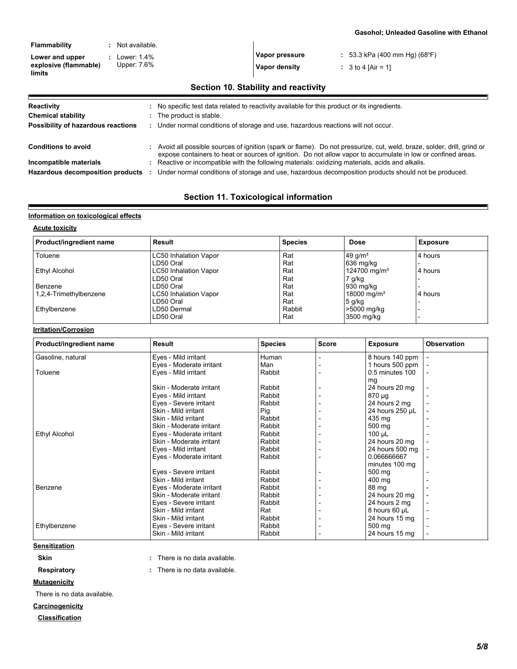| <b>Flammability</b><br>Lower and upper<br>explosive (flammable)<br>limits | : Not available.<br>: Lower: $1.4\%$<br>Upper: 7.6% | : 53.3 kPa (400 mm Hg) (68°F)<br>Vapor pressure<br>Vapor density<br>: 3 to 4 [Air = 1]                                                                                                                                                  |
|---------------------------------------------------------------------------|-----------------------------------------------------|-----------------------------------------------------------------------------------------------------------------------------------------------------------------------------------------------------------------------------------------|
|                                                                           |                                                     | Section 10. Stability and reactivity                                                                                                                                                                                                    |
| Reactivity                                                                |                                                     | : No specific test data related to reactivity available for this product or its ingredients.                                                                                                                                            |
| <b>Chemical stability</b>                                                 | : The product is stable.                            |                                                                                                                                                                                                                                         |
| Possibility of hazardous reactions                                        |                                                     | : Under normal conditions of storage and use, hazardous reactions will not occur.                                                                                                                                                       |
| <b>Conditions to avoid</b>                                                |                                                     | : Avoid all possible sources of ignition (spark or flame). Do not pressurize, cut, weld, braze, solder, drill, grind or<br>expose containers to heat or sources of ignition. Do not allow vapor to accumulate in low or confined areas. |
| Incompatible materials                                                    |                                                     | : Reactive or incompatible with the following materials: oxidizing materials, acids and alkalis.                                                                                                                                        |
| <b>Hazardous decomposition products</b>                                   |                                                     | Under normal conditions of storage and use, hazardous decomposition products should not be produced.                                                                                                                                    |

# **Section 11. Toxicological information**

#### **Information on toxicological effects**

# **Acute toxicity**

E

| Product/ingredient name | Result                       | <b>Species</b> | <b>Dose</b>              | <b>Exposure</b> |
|-------------------------|------------------------------|----------------|--------------------------|-----------------|
| Toluene                 | <b>LC50 Inhalation Vapor</b> | Rat            | 49 $q/m3$                | 4 hours         |
|                         | LD50 Oral                    | Rat            | 636 mg/kg                |                 |
| Ethyl Alcohol           | <b>LC50 Inhalation Vapor</b> | Rat            | 124700 mg/m <sup>3</sup> | 4 hours         |
|                         | LD50 Oral                    | Rat            | 7 g/kg                   |                 |
| Benzene                 | LD50 Oral                    | Rat            | 930 mg/kg                |                 |
| 1,2,4-Trimethylbenzene  | <b>LC50 Inhalation Vapor</b> | Rat            | 18000 mg/m <sup>3</sup>  | 4 hours         |
|                         | LD50 Oral                    | Rat            | $5$ g/kg                 |                 |
| Ethylbenzene            | LD50 Dermal                  | Rabbit         | >5000 mg/kg              |                 |
|                         | LD50 Oral                    | Rat            | 3500 mg/kg               |                 |

### **Irritation/Corrosion**

| Product/ingredient name | Result                   | <b>Species</b> | <b>Score</b> | <b>Exposure</b>   | <b>Observation</b> |
|-------------------------|--------------------------|----------------|--------------|-------------------|--------------------|
| Gasoline, natural       | Eyes - Mild irritant     | Human          |              | 8 hours 140 ppm   |                    |
|                         | Eyes - Moderate irritant | Man            |              | 1 hours 500 ppm   |                    |
| Toluene                 | Eyes - Mild irritant     | Rabbit         |              | $0.5$ minutes 100 |                    |
|                         |                          |                |              | mq                |                    |
|                         | Skin - Moderate irritant | Rabbit         |              | 24 hours 20 mg    |                    |
|                         | Eyes - Mild irritant     | Rabbit         |              | 870 µg            |                    |
|                         | Eyes - Severe irritant   | Rabbit         |              | 24 hours 2 mg     |                    |
|                         | Skin - Mild irritant     | Pig            |              | 24 hours 250 µL   |                    |
|                         | Skin - Mild irritant     | Rabbit         |              | 435 ma            |                    |
|                         | Skin - Moderate irritant | Rabbit         |              | 500 mg            |                    |
| <b>Ethyl Alcohol</b>    | Eyes - Moderate irritant | Rabbit         |              | 100 $\mu$ L       |                    |
|                         | Skin - Moderate irritant | Rabbit         |              | 24 hours 20 mg    |                    |
|                         | Eyes - Mild irritant     | Rabbit         |              | 24 hours 500 mg   |                    |
|                         | Eyes - Moderate irritant | Rabbit         |              | 0.066666667       |                    |
|                         |                          |                |              | minutes 100 mg    |                    |
|                         | Eyes - Severe irritant   | Rabbit         |              | 500 mg            |                    |
|                         | Skin - Mild irritant     | Rabbit         |              | 400 mg            |                    |
| Benzene                 | Eyes - Moderate irritant | Rabbit         |              | 88 mg             |                    |
|                         | Skin - Moderate irritant | Rabbit         |              | 24 hours 20 mg    |                    |
|                         | Eyes - Severe irritant   | Rabbit         |              | 24 hours 2 mg     |                    |
|                         | Skin - Mild irritant     | Rat            |              | 8 hours 60 µL     |                    |
|                         | Skin - Mild irritant     | Rabbit         |              | 24 hours 15 mg    |                    |
| Ethylbenzene            | Eyes - Severe irritant   | Rabbit         |              | 500 mg            |                    |
|                         | Skin - Mild irritant     | Rabbit         |              | 24 hours 15 mg    |                    |

### **Sensitization**

**Skin :** There is no data available. **Respiratory :** There is no data available. There is no data available.

**Mutagenicity**

There is no data available.

**Carcinogenicity**

**Classification**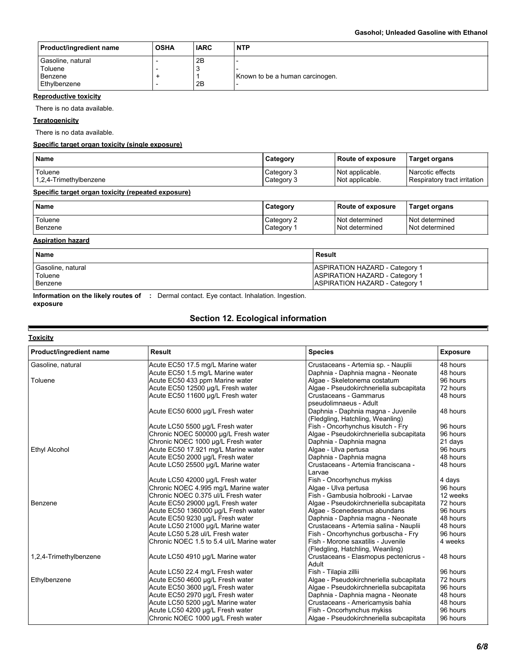| <b>Product/ingredient name</b>                          | <b>OSHA</b> | <b>IARC</b>    | <b>NTP</b>                      |
|---------------------------------------------------------|-------------|----------------|---------------------------------|
| Gasoline, natural<br>Toluene<br>Benzene<br>Ethylbenzene |             | 2B<br>-3<br>2B | Known to be a human carcinogen. |

#### **Reproductive toxicity**

There is no data available.

### **Teratogenicity**

There is no data available.

#### **Specific target organ toxicity (single exposure)**

| <b>Name</b>                                        | Category                 | Route of exposure                  | <b>Target organs</b>                             |
|----------------------------------------------------|--------------------------|------------------------------------|--------------------------------------------------|
| Toluene<br>1,2,4-Trimethylbenzene                  | Category 3<br>Category 3 | Not applicable.<br>Not applicable. | Narcotic effects<br>Respiratory tract irritation |
| Specific target organ toxicity (repeated exposure) |                          |                                    |                                                  |

| Name    | Category   | l Route of exposure | <b>Target organs</b> |
|---------|------------|---------------------|----------------------|
| Toluene | Category 2 | Not determined      | Not determined       |
| Benzene | Category   | Not determined      | Not determined       |

#### **Aspiration hazard**

| <b>Name</b>       | <b>Result</b>                         |
|-------------------|---------------------------------------|
| Gasoline, natural | <b>ASPIRATION HAZARD - Category 1</b> |
| Toluene           | <b>ASPIRATION HAZARD - Category 1</b> |
| Benzene           | <b>ASPIRATION HAZARD - Category 1</b> |

**Information on the likely routes of :** Dermal contact. Eye contact. Inhalation. Ingestion. **exposure**

# **Section 12. Ecological information**

| Product/ingredient name | Result                                    | <b>Species</b>                                                         | <b>Exposure</b> |
|-------------------------|-------------------------------------------|------------------------------------------------------------------------|-----------------|
| Gasoline, natural       | Acute EC50 17.5 mg/L Marine water         | Crustaceans - Artemia sp. - Nauplii                                    | 48 hours        |
|                         | Acute EC50 1.5 mg/L Marine water          | Daphnia - Daphnia magna - Neonate                                      | 48 hours        |
| Toluene                 | Acute EC50 433 ppm Marine water           | Algae - Skeletonema costatum                                           | 96 hours        |
|                         | Acute EC50 12500 µg/L Fresh water         | Algae - Pseudokirchneriella subcapitata                                | 72 hours        |
|                         | Acute EC50 11600 µg/L Fresh water         | Crustaceans - Gammarus<br>pseudolimnaeus - Adult                       | 48 hours        |
|                         | Acute EC50 6000 µg/L Fresh water          | Daphnia - Daphnia magna - Juvenile<br>(Fledgling, Hatchling, Weanling) | 48 hours        |
|                         | Acute LC50 5500 µg/L Fresh water          | Fish - Oncorhynchus kisutch - Fry                                      | 96 hours        |
|                         | Chronic NOEC 500000 µg/L Fresh water      | Algae - Pseudokirchneriella subcapitata                                | 96 hours        |
|                         | Chronic NOEC 1000 µg/L Fresh water        | Daphnia - Daphnia magna                                                | 21 days         |
| Ethyl Alcohol           | Acute EC50 17.921 mg/L Marine water       | Algae - Ulva pertusa                                                   | 96 hours        |
|                         | Acute EC50 2000 µg/L Fresh water          | Daphnia - Daphnia magna                                                | 48 hours        |
|                         | Acute LC50 25500 µg/L Marine water        | Crustaceans - Artemia franciscana -<br>Larvae                          | 48 hours        |
|                         | Acute LC50 42000 µg/L Fresh water         | Fish - Oncorhynchus mykiss                                             | 4 days          |
|                         | Chronic NOEC 4.995 mg/L Marine water      | Algae - Ulva pertusa                                                   | 96 hours        |
|                         | Chronic NOEC 0.375 ul/L Fresh water       | Fish - Gambusia holbrooki - Larvae                                     | 12 weeks        |
| Benzene                 | Acute EC50 29000 µg/L Fresh water         | Algae - Pseudokirchneriella subcapitata                                | 72 hours        |
|                         | Acute EC50 1360000 µg/L Fresh water       | Algae - Scenedesmus abundans                                           | 96 hours        |
|                         | Acute EC50 9230 µg/L Fresh water          | Daphnia - Daphnia magna - Neonate                                      | 48 hours        |
|                         | Acute LC50 21000 µg/L Marine water        | Crustaceans - Artemia salina - Nauplii                                 | 48 hours        |
|                         | Acute LC50 5.28 ul/L Fresh water          | Fish - Oncorhynchus gorbuscha - Fry                                    | 96 hours        |
|                         | Chronic NOEC 1.5 to 5.4 ul/L Marine water | Fish - Morone saxatilis - Juvenile<br>(Fledgling, Hatchling, Weanling) | 4 weeks         |
| 1,2,4-Trimethylbenzene  | Acute LC50 4910 µg/L Marine water         | Crustaceans - Elasmopus pectenicrus -<br>Adult                         | 48 hours        |
|                         | Acute LC50 22.4 mg/L Fresh water          | Fish - Tilapia zillii                                                  | 96 hours        |
| Ethylbenzene            | Acute EC50 4600 µg/L Fresh water          | Algae - Pseudokirchneriella subcapitata                                | 72 hours        |
|                         | Acute EC50 3600 µg/L Fresh water          | Algae - Pseudokirchneriella subcapitata                                | 96 hours        |
|                         | Acute EC50 2970 µg/L Fresh water          | Daphnia - Daphnia magna - Neonate                                      | 48 hours        |
|                         | Acute LC50 5200 µg/L Marine water         | Crustaceans - Americamysis bahia                                       | 48 hours        |
|                         | Acute LC50 4200 µg/L Fresh water          | Fish - Oncorhynchus mykiss                                             | 96 hours        |
|                         | Chronic NOEC 1000 µg/L Fresh water        | Algae - Pseudokirchneriella subcapitata                                | 96 hours        |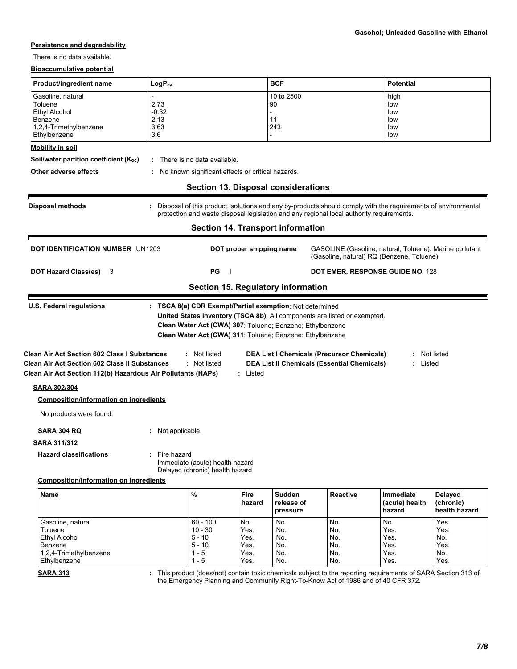#### **Persistence and degradability**

There is no data available.

#### **Bioaccumulative potential**

| Product/ingredient name                                                                                                                                                     | $LogP_{ow}$                            |                                                                    |          | <b>BCF</b><br><b>Potential</b>                                                                                                                                                     |                                                                                                              |                                         |              |  |
|-----------------------------------------------------------------------------------------------------------------------------------------------------------------------------|----------------------------------------|--------------------------------------------------------------------|----------|------------------------------------------------------------------------------------------------------------------------------------------------------------------------------------|--------------------------------------------------------------------------------------------------------------|-----------------------------------------|--------------|--|
| Gasoline, natural<br>Toluene<br>Ethyl Alcohol<br>Benzene<br>1,2,4-Trimethylbenzene<br>Ethylbenzene                                                                          | 2.73<br>$-0.32$<br>2.13<br>3.63<br>3.6 |                                                                    |          | 10 to 2500<br>90<br>11<br>243                                                                                                                                                      |                                                                                                              | high<br>low<br>low<br>low<br>low<br>low |              |  |
| <b>Mobility in soil</b>                                                                                                                                                     |                                        |                                                                    |          |                                                                                                                                                                                    |                                                                                                              |                                         |              |  |
| Soil/water partition coefficient (Koc)<br>Other adverse effects                                                                                                             |                                        | : There is no data available.                                      |          |                                                                                                                                                                                    |                                                                                                              |                                         |              |  |
|                                                                                                                                                                             |                                        | No known significant effects or critical hazards.                  |          | <b>Section 13. Disposal considerations</b>                                                                                                                                         |                                                                                                              |                                         |              |  |
| <b>Disposal methods</b>                                                                                                                                                     |                                        |                                                                    |          |                                                                                                                                                                                    | Disposal of this product, solutions and any by-products should comply with the requirements of environmental |                                         |              |  |
|                                                                                                                                                                             |                                        |                                                                    |          |                                                                                                                                                                                    | protection and waste disposal legislation and any regional local authority requirements.                     |                                         |              |  |
|                                                                                                                                                                             |                                        |                                                                    |          | <b>Section 14. Transport information</b>                                                                                                                                           |                                                                                                              |                                         |              |  |
| <b>DOT IDENTIFICATION NUMBER UN1203</b>                                                                                                                                     | DOT proper shipping name               |                                                                    |          | GASOLINE (Gasoline, natural, Toluene). Marine pollutant<br>(Gasoline, natural) RQ (Benzene, Toluene)                                                                               |                                                                                                              |                                         |              |  |
| <b>DOT Hazard Class(es)</b><br>3                                                                                                                                            |                                        | <b>PG</b><br>- 1                                                   |          |                                                                                                                                                                                    |                                                                                                              | <b>DOT EMER. RESPONSE GUIDE NO. 128</b> |              |  |
|                                                                                                                                                                             |                                        |                                                                    |          | Section 15. Regulatory information                                                                                                                                                 |                                                                                                              |                                         |              |  |
| <b>U.S. Federal regulations</b>                                                                                                                                             |                                        |                                                                    |          | : TSCA 8(a) CDR Exempt/Partial exemption: Not determined<br>Clean Water Act (CWA) 307: Toluene; Benzene; Ethylbenzene<br>Clean Water Act (CWA) 311: Toluene; Benzene; Ethylbenzene | United States inventory (TSCA 8b): All components are listed or exempted.                                    |                                         |              |  |
| <b>Clean Air Act Section 602 Class I Substances</b><br><b>Clean Air Act Section 602 Class II Substances</b><br>Clean Air Act Section 112(b) Hazardous Air Pollutants (HAPs) |                                        | : Not listed<br>: Not listed                                       | : Listed |                                                                                                                                                                                    | <b>DEA List I Chemicals (Precursor Chemicals)</b><br><b>DEA List II Chemicals (Essential Chemicals)</b>      | : Listed                                | : Not listed |  |
| <b>SARA 302/304</b>                                                                                                                                                         |                                        |                                                                    |          |                                                                                                                                                                                    |                                                                                                              |                                         |              |  |
| <b>Composition/information on ingredients</b>                                                                                                                               |                                        |                                                                    |          |                                                                                                                                                                                    |                                                                                                              |                                         |              |  |
| No products were found.                                                                                                                                                     |                                        |                                                                    |          |                                                                                                                                                                                    |                                                                                                              |                                         |              |  |
| <b>SARA 304 RQ</b>                                                                                                                                                          | : Not applicable.                      |                                                                    |          |                                                                                                                                                                                    |                                                                                                              |                                         |              |  |
| <b>SARA 311/312</b>                                                                                                                                                         |                                        |                                                                    |          |                                                                                                                                                                                    |                                                                                                              |                                         |              |  |
| <b>Hazard classifications</b>                                                                                                                                               | Fire hazard                            | Immediate (acute) health hazard<br>Delayed (chronic) health hazard |          |                                                                                                                                                                                    |                                                                                                              |                                         |              |  |
| <b>Composition/information on ingredients</b>                                                                                                                               |                                        |                                                                    |          |                                                                                                                                                                                    |                                                                                                              |                                         |              |  |
| Name                                                                                                                                                                        |                                        | %                                                                  | Fire     | <b>Sudden</b>                                                                                                                                                                      | <b>Reactive</b>                                                                                              | <b>Immediate</b>                        | Delayed      |  |

| ,,,,,,,,,,,            | 70         | .<br>hazard | <b>OUUUUI</b><br>release of<br>pressure | RGUOUVU | www.<br>(acute) health<br>hazard | <b>Delayeu</b><br>(chronic)<br>l health hazard |
|------------------------|------------|-------------|-----------------------------------------|---------|----------------------------------|------------------------------------------------|
| Gasoline, natural      | $60 - 100$ | No.         | No.                                     | No.     | No.                              | Yes.                                           |
| Toluene                | $10 - 30$  | Yes.        | No.                                     | No.     | Yes.                             | Yes.                                           |
| <b>Ethyl Alcohol</b>   | $5 - 10$   | Yes.        | No.                                     | No.     | Yes.                             | No.                                            |
| Benzene                | $5 - 10$   | Yes.        | No.                                     | No.     | Yes.                             | Yes.                                           |
| 1,2,4-Trimethylbenzene | - 5        | Yes.        | No.                                     | No.     | Yes.                             | No.                                            |
| Ethylbenzene           | - 5        | Yes.        | No.                                     | No.     | Yes.                             | Yes.                                           |

**SARA 313**

This product (does/not) contain toxic chemicals subject to the reporting requirements of SARA Section 313 of the Emergency Planning and Community Right-To-Know Act of 1986 and of 40 CFR 372. **:**